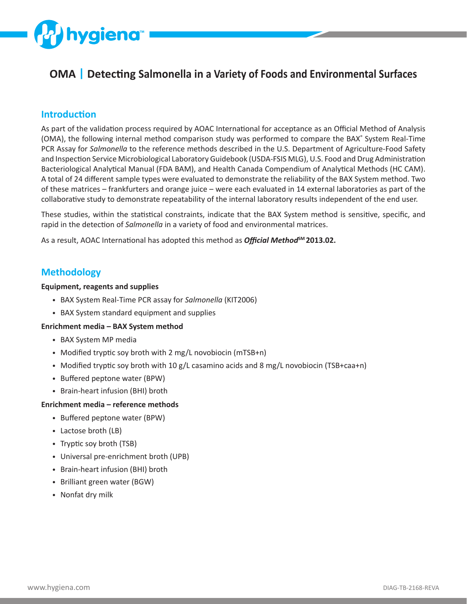

# **OMA | Detecting Salmonella in a Variety of Foods and Environmental Surfaces**

## **Introduction**

As part of the validation process required by AOAC International for acceptance as an Official Method of Analysis (OMA), the following internal method comparison study was performed to compare the BAX<sup>®</sup> System Real-Time PCR Assay for *Salmonella* to the reference methods described in the U.S. Department of Agriculture-Food Safety and Inspection Service Microbiological Laboratory Guidebook (USDA-FSIS MLG), U.S. Food and Drug Administration Bacteriological Analytical Manual (FDA BAM), and Health Canada Compendium of Analytical Methods (HC CAM). A total of 24 different sample types were evaluated to demonstrate the reliability of the BAX System method. Two of these matrices – frankfurters and orange juice – were each evaluated in 14 external laboratories as part of the collaborative study to demonstrate repeatability of the internal laboratory results independent of the end user.

These studies, within the statistical constraints, indicate that the BAX System method is sensitive, specific, and rapid in the detection of *Salmonella* in a variety of food and environmental matrices.

As a result, AOAC International has adopted this method as *Official Method*<sup>SM</sup> 2013.02.

# **Methodology**

#### **Equipment, reagents and supplies**

- BAX System Real-Time PCR assay for *Salmonella* (KIT2006)
- BAX System standard equipment and supplies

#### **Enrichment media – BAX System method**

- BAX System MP media
- Modified tryptic soy broth with 2 mg/L novobiocin (mTSB+n)
- Modified tryptic soy broth with 10 g/L casamino acids and 8 mg/L novobiocin (TSB+caa+n)
- Buffered peptone water (BPW)
- Brain-heart infusion (BHI) broth

#### **Enrichment media – reference methods**

- Buffered peptone water (BPW)
- Lactose broth (LB)
- Tryptic soy broth (TSB)
- Universal pre-enrichment broth (UPB)
- Brain-heart infusion (BHI) broth
- Brilliant green water (BGW)
- Nonfat dry milk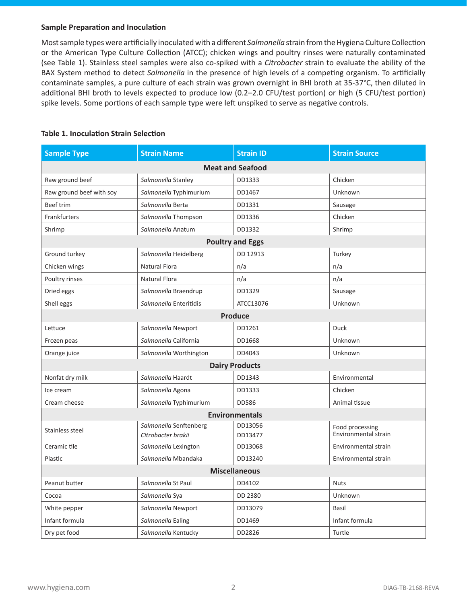#### **Sample Preparation and Inoculation**

Most sample types were artificially inoculated with a different *Salmonella* strain from the Hygiena Culture Collection or the American Type Culture Collection (ATCC); chicken wings and poultry rinses were naturally contaminated (see Table 1). Stainless steel samples were also co-spiked with a *Citrobacter* strain to evaluate the ability of the BAX System method to detect *Salmonella* in the presence of high levels of a competing organism. To artificially contaminate samples, a pure culture of each strain was grown overnight in BHI broth at 35-37°C, then diluted in additional BHI broth to levels expected to produce low (0.2–2.0 CFU/test portion) or high (5 CFU/test portion) spike levels. Some portions of each sample type were left unspiked to serve as negative controls.

| <b>Sample Type</b>       | <b>Strain Name</b>                           | <b>Strain ID</b>        | <b>Strain Source</b>                    |
|--------------------------|----------------------------------------------|-------------------------|-----------------------------------------|
|                          |                                              | <b>Meat and Seafood</b> |                                         |
| Raw ground beef          | Salmonella Stanley                           | DD1333                  | Chicken                                 |
| Raw ground beef with soy | Salmonella Typhimurium                       | DD1467                  | Unknown                                 |
| <b>Beef trim</b>         | Salmonella Berta                             | DD1331                  | Sausage                                 |
| Frankfurters             | Salmonella Thompson                          | DD1336                  | Chicken                                 |
| Shrimp                   | Salmonella Anatum                            | DD1332                  | Shrimp                                  |
|                          |                                              | <b>Poultry and Eggs</b> |                                         |
| Ground turkey            | Salmonella Heidelberg                        | DD 12913                | Turkey                                  |
| Chicken wings            | <b>Natural Flora</b>                         | n/a                     | n/a                                     |
| Poultry rinses           | Natural Flora                                | n/a                     | n/a                                     |
| Dried eggs               | Salmonella Braendrup                         | DD1329                  | Sausage                                 |
| Shell eggs               | Salmonella Enteritidis                       | ATCC13076               | Unknown                                 |
|                          |                                              | <b>Produce</b>          |                                         |
| Lettuce                  | Salmonella Newport                           | DD1261                  | <b>Duck</b>                             |
| Frozen peas              | Salmonella California                        | DD1668                  | Unknown                                 |
| Orange juice             | Salmonella Worthington                       | DD4043                  | Unknown                                 |
|                          |                                              | <b>Dairy Products</b>   |                                         |
| Nonfat dry milk          | Salmonella Haardt                            | DD1343                  | Environmental                           |
| Ice cream                | Salmonella Agona                             | DD1333                  | Chicken                                 |
| Cream cheese             | Salmonella Typhimurium                       | DD586                   | Animal tissue                           |
|                          |                                              | <b>Environmentals</b>   |                                         |
| Stainless steel          | Salmonella Senftenberg<br>Citrobacter brakii | DD13056<br>DD13477      | Food processing<br>Environmental strain |
| Ceramic tile             | Salmonella Lexington                         | DD13068                 | Environmental strain                    |
| Plastic                  | Salmonella Mbandaka                          | DD13240                 | Environmental strain                    |
|                          |                                              | <b>Miscellaneous</b>    |                                         |
| Peanut butter            | Salmonella St Paul                           | DD4102                  | <b>Nuts</b>                             |
| Cocoa                    | Salmonella Sya                               | DD 2380                 | Unknown                                 |
| White pepper             | Salmonella Newport                           | DD13079                 | Basil                                   |
| Infant formula           | Salmonella Ealing                            | DD1469                  | Infant formula                          |
| Dry pet food             | Salmonella Kentucky                          | DD2826                  | Turtle                                  |

### **Table 1. Inoculation Strain Selection**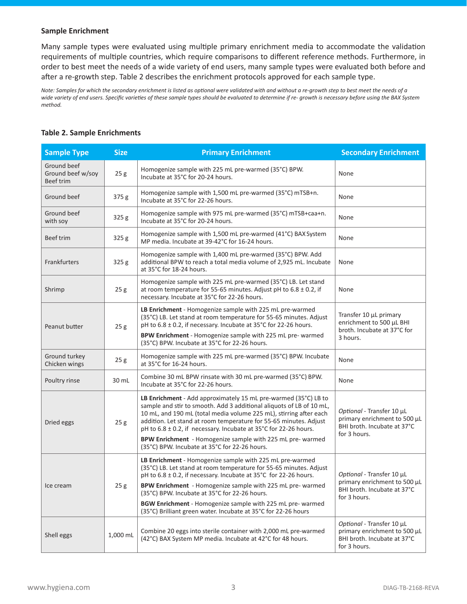#### **Sample Enrichment**

Many sample types were evaluated using multiple primary enrichment media to accommodate the validation requirements of multiple countries, which require comparisons to different reference methods. Furthermore, in order to best meet the needs of a wide variety of end users, many sample types were evaluated both before and after a re-growth step. Table 2 describes the enrichment protocols approved for each sample type.

*Note: Samples for which the secondary enrichment is listed as optional were validated with and without a re-growth step to best meet the needs of a wide variety of end users. Specific varieties of these sample types should be evaluated to determine if re- growth is necessary before using the BAX System method.*

#### **Table 2. Sample Enrichments**

| <b>Sample Type</b>                                   | <b>Size</b>     | <b>Primary Enrichment</b>                                                                                                                                                                                                                                                                                                                                                                                                                                             | <b>Secondary Enrichment</b>                                                                              |
|------------------------------------------------------|-----------------|-----------------------------------------------------------------------------------------------------------------------------------------------------------------------------------------------------------------------------------------------------------------------------------------------------------------------------------------------------------------------------------------------------------------------------------------------------------------------|----------------------------------------------------------------------------------------------------------|
| Ground beef<br>Ground beef w/soy<br><b>Beef trim</b> | 25g             | Homogenize sample with 225 mL pre-warmed (35°C) BPW.<br>Incubate at 35°C for 20-24 hours.                                                                                                                                                                                                                                                                                                                                                                             | None                                                                                                     |
| Ground beef                                          | 375 g           | Homogenize sample with 1,500 mL pre-warmed (35°C) mTSB+n.<br>Incubate at 35°C for 22-26 hours.                                                                                                                                                                                                                                                                                                                                                                        | None                                                                                                     |
| Ground beef<br>with soy                              | 325 g           | Homogenize sample with 975 mL pre-warmed (35°C) mTSB+caa+n.<br>Incubate at 35°C for 20-24 hours.                                                                                                                                                                                                                                                                                                                                                                      | None                                                                                                     |
| <b>Beef trim</b>                                     | 325 g           | Homogenize sample with 1,500 mL pre-warmed (41°C) BAX System<br>MP media. Incubate at 39-42°C for 16-24 hours.                                                                                                                                                                                                                                                                                                                                                        | None                                                                                                     |
| Frankfurters                                         | 325 g           | Homogenize sample with 1,400 mL pre-warmed (35°C) BPW. Add<br>additional BPW to reach a total media volume of 2,925 mL. Incubate<br>at 35°C for 18-24 hours.                                                                                                                                                                                                                                                                                                          | None                                                                                                     |
| Shrimp                                               | 25g             | Homogenize sample with 225 mL pre-warmed (35°C) LB. Let stand<br>at room temperature for 55-65 minutes. Adjust pH to $6.8 \pm 0.2$ , if<br>necessary. Incubate at 35°C for 22-26 hours.                                                                                                                                                                                                                                                                               | None                                                                                                     |
| Peanut butter                                        | 25 <sub>g</sub> | LB Enrichment - Homogenize sample with 225 mL pre-warmed<br>(35°C) LB. Let stand at room temperature for 55-65 minutes. Adjust<br>pH to 6.8 ± 0.2, if necessary. Incubate at 35°C for 22-26 hours.<br>BPW Enrichment - Homogenize sample with 225 mL pre- warmed<br>(35°C) BPW. Incubate at 35°C for 22-26 hours.                                                                                                                                                     | Transfer 10 µL primary<br>enrichment to 500 µL BHI<br>broth. Incubate at 37°C for<br>3 hours.            |
| Ground turkey<br>Chicken wings                       | 25g             | Homogenize sample with 225 mL pre-warmed (35°C) BPW. Incubate<br>at 35°C for 16-24 hours.                                                                                                                                                                                                                                                                                                                                                                             | None                                                                                                     |
| Poultry rinse                                        | 30 mL           | Combine 30 mL BPW rinsate with 30 mL pre-warmed (35°C) BPW.<br>Incubate at 35°C for 22-26 hours.                                                                                                                                                                                                                                                                                                                                                                      | None                                                                                                     |
| Dried eggs                                           | 25g             | LB Enrichment - Add approximately 15 mL pre-warmed (35°C) LB to<br>sample and stir to smooth. Add 3 additional aliquots of LB of 10 mL,<br>10 mL, and 190 mL (total media volume 225 mL), stirring after each<br>addition. Let stand at room temperature for 55-65 minutes. Adjust<br>pH to 6.8 ± 0.2, if necessary. Incubate at 35°C for 22-26 hours.<br>BPW Enrichment - Homogenize sample with 225 mL pre- warmed<br>(35°C) BPW. Incubate at 35°C for 22-26 hours. | Optional - Transfer 10 µL<br>primary enrichment to 500 µL<br>BHI broth. Incubate at 37°C<br>for 3 hours. |
| Ice cream                                            | 25g             | LB Enrichment - Homogenize sample with 225 mL pre-warmed<br>(35°C) LB. Let stand at room temperature for 55-65 minutes. Adjust<br>pH to 6.8 ± 0.2, if necessary. Incubate at 35°C for 22-26 hours.<br>BPW Enrichment - Homogenize sample with 225 mL pre- warmed<br>(35°C) BPW. Incubate at 35°C for 22-26 hours.<br><b>BGW Enrichment</b> - Homogenize sample with 225 mL pre- warmed<br>(35°C) Brilliant green water. Incubate at 35°C for 22-26 hours              | Optional - Transfer 10 µL<br>primary enrichment to 500 µL<br>BHI broth. Incubate at 37°C<br>for 3 hours. |
| Shell eggs                                           | 1,000 mL        | Combine 20 eggs into sterile container with 2,000 mL pre-warmed<br>(42°C) BAX System MP media. Incubate at 42°C for 48 hours.                                                                                                                                                                                                                                                                                                                                         | Optional - Transfer 10 µL<br>primary enrichment to 500 µL<br>BHI broth. Incubate at 37°C<br>for 3 hours. |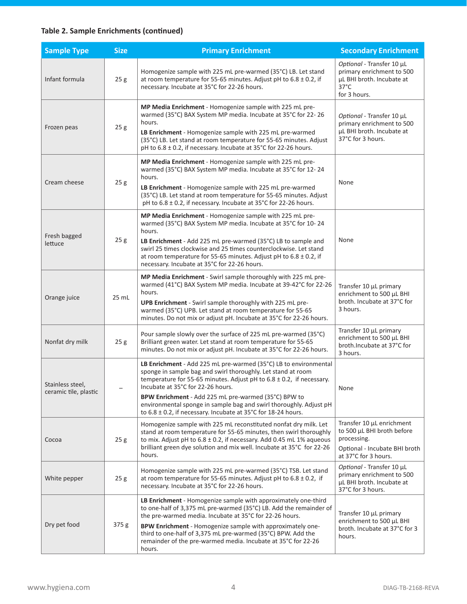# **Table 2. Sample Enrichments (continued)**

| <b>Sample Type</b>                        | <b>Size</b>     | <b>Primary Enrichment</b>                                                                                                                                                                                                                                                                                                                                                                                                                              | <b>Secondary Enrichment</b>                                                                                                     |
|-------------------------------------------|-----------------|--------------------------------------------------------------------------------------------------------------------------------------------------------------------------------------------------------------------------------------------------------------------------------------------------------------------------------------------------------------------------------------------------------------------------------------------------------|---------------------------------------------------------------------------------------------------------------------------------|
| Infant formula                            | 25g             | Homogenize sample with 225 mL pre-warmed (35°C) LB. Let stand<br>at room temperature for 55-65 minutes. Adjust pH to $6.8 \pm 0.2$ , if<br>necessary. Incubate at 35°C for 22-26 hours.                                                                                                                                                                                                                                                                | Optional - Transfer 10 µL<br>primary enrichment to 500<br>µL BHI broth. Incubate at<br>$37^{\circ}$ C<br>for 3 hours.           |
| Frozen peas                               | 25g             | MP Media Enrichment - Homogenize sample with 225 mL pre-<br>warmed (35°C) BAX System MP media. Incubate at 35°C for 22-26<br>hours.<br>LB Enrichment - Homogenize sample with 225 mL pre-warmed<br>(35°C) LB. Let stand at room temperature for 55-65 minutes. Adjust<br>pH to 6.8 ± 0.2, if necessary. Incubate at 35°C for 22-26 hours.                                                                                                              | Optional - Transfer 10 µL<br>primary enrichment to 500<br>µL BHI broth. Incubate at<br>37°C for 3 hours.                        |
| Cream cheese                              | 25g             | MP Media Enrichment - Homogenize sample with 225 mL pre-<br>warmed (35°C) BAX System MP media. Incubate at 35°C for 12-24<br>hours.<br>LB Enrichment - Homogenize sample with 225 mL pre-warmed<br>(35°C) LB. Let stand at room temperature for 55-65 minutes. Adjust<br>pH to $6.8 \pm 0.2$ , if necessary. Incubate at 35°C for 22-26 hours.                                                                                                         | None                                                                                                                            |
| Fresh bagged<br>lettuce                   | 25g             | MP Media Enrichment - Homogenize sample with 225 mL pre-<br>warmed (35°C) BAX System MP media. Incubate at 35°C for 10-24<br>hours.<br>LB Enrichment - Add 225 mL pre-warmed (35°C) LB to sample and<br>swirl 25 times clockwise and 25 times counterclockwise. Let stand<br>at room temperature for 55-65 minutes. Adjust pH to $6.8 \pm 0.2$ , if<br>necessary. Incubate at 35°C for 22-26 hours.                                                    | None                                                                                                                            |
| Orange juice                              | 25 mL           | MP Media Enrichment - Swirl sample thoroughly with 225 mL pre-<br>warmed (41°C) BAX System MP media. Incubate at 39-42°C for 22-26<br>hours.<br>UPB Enrichment - Swirl sample thoroughly with 225 mL pre-<br>warmed (35°C) UPB. Let stand at room temperature for 55-65<br>minutes. Do not mix or adjust pH. Incubate at 35°C for 22-26 hours.                                                                                                         | Transfer 10 µL primary<br>enrichment to 500 µL BHI<br>broth. Incubate at 37°C for<br>3 hours.                                   |
| Nonfat dry milk                           | 25g             | Pour sample slowly over the surface of 225 mL pre-warmed (35°C)<br>Brilliant green water. Let stand at room temperature for 55-65<br>minutes. Do not mix or adjust pH. Incubate at 35°C for 22-26 hours.                                                                                                                                                                                                                                               | Transfer 10 µL primary<br>enrichment to 500 µL BHI<br>broth.Incubate at 37°C for<br>3 hours.                                    |
| Stainless steel,<br>ceramic tile, plastic |                 | LB Enrichment - Add 225 mL pre-warmed (35°C) LB to environmental<br>sponge in sample bag and swirl thoroughly. Let stand at room<br>temperature for 55-65 minutes. Adjust pH to $6.8 \pm 0.2$ , if necessary.<br>Incubate at 35°C for 22-26 hours.<br>BPW Enrichment - Add 225 mL pre-warmed (35°C) BPW to<br>environmental sponge in sample bag and swirl thoroughly. Adjust pH<br>to $6.8 \pm 0.2$ , if necessary. Incubate at 35°C for 18-24 hours. | None                                                                                                                            |
| Cocoa                                     | 25g             | Homogenize sample with 225 mL reconstituted nonfat dry milk. Let<br>stand at room temperature for 55-65 minutes, then swirl thoroughly<br>to mix. Adjust pH to $6.8 \pm 0.2$ , if necessary. Add 0.45 mL 1% aqueous<br>brilliant green dye solution and mix well. Incubate at 35°C for 22-26<br>hours.                                                                                                                                                 | Transfer 10 µL enrichment<br>to 500 µL BHI broth before<br>processing.<br>Optional - Incubate BHI broth<br>at 37°C for 3 hours. |
| White pepper                              | 25 <sub>g</sub> | Homogenize sample with 225 mL pre-warmed (35°C) TSB. Let stand<br>at room temperature for 55-65 minutes. Adjust pH to $6.8 \pm 0.2$ , if<br>necessary. Incubate at 35°C for 22-26 hours.                                                                                                                                                                                                                                                               | Optional - Transfer 10 µL<br>primary enrichment to 500<br>µL BHI broth. Incubate at<br>37°C for 3 hours.                        |
| Dry pet food                              | 375g            | LB Enrichment - Homogenize sample with approximately one-third<br>to one-half of 3,375 mL pre-warmed (35°C) LB. Add the remainder of<br>the pre-warmed media. Incubate at 35°C for 22-26 hours.<br>BPW Enrichment - Homogenize sample with approximately one-<br>third to one-half of 3,375 mL pre-warmed (35°C) BPW. Add the<br>remainder of the pre-warmed media. Incubate at 35°C for 22-26<br>hours.                                               | Transfer 10 µL primary<br>enrichment to 500 µL BHI<br>broth. Incubate at 37°C for 3<br>hours.                                   |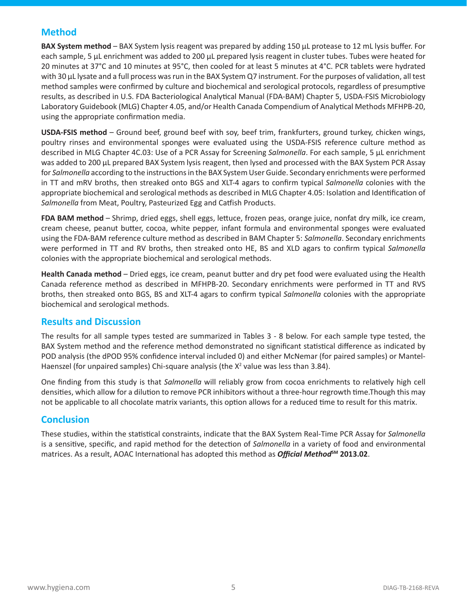# **Method**

**BAX System method** – BAX System lysis reagent was prepared by adding 150 µL protease to 12 mL lysis buffer. For each sample, 5 µL enrichment was added to 200 µL prepared lysis reagent in cluster tubes. Tubes were heated for 20 minutes at 37°C and 10 minutes at 95°C, then cooled for at least 5 minutes at 4°C. PCR tablets were hydrated with 30 µL lysate and a full process was run in the BAX System Q7 instrument. For the purposes of validation, all test method samples were confirmed by culture and biochemical and serological protocols, regardless of presumptive results, as described in U.S. FDA Bacteriological Analytical Manual (FDA-BAM) Chapter 5, USDA-FSIS Microbiology Laboratory Guidebook (MLG) Chapter 4.05, and/or Health Canada Compendium of Analytical Methods MFHPB-20, using the appropriate confirmation media.

**USDA-FSIS method** – Ground beef, ground beef with soy, beef trim, frankfurters, ground turkey, chicken wings, poultry rinses and environmental sponges were evaluated using the USDA-FSIS reference culture method as described in MLG Chapter 4C.03: Use of a PCR Assay for Screening *Salmonella*. For each sample, 5 µL enrichment was added to 200 µL prepared BAX System lysis reagent, then lysed and processed with the BAX System PCR Assay for *Salmonella* according to the instructions in the BAX System User Guide. Secondary enrichments were performed in TT and mRV broths, then streaked onto BGS and XLT-4 agars to confirm typical *Salmonella* colonies with the appropriate biochemical and serological methods as described in MLG Chapter 4.05: Isolation and Identification of *Salmonella* from Meat, Poultry, Pasteurized Egg and Catfish Products.

**FDA BAM method** – Shrimp, dried eggs, shell eggs, lettuce, frozen peas, orange juice, nonfat dry milk, ice cream, cream cheese, peanut butter, cocoa, white pepper, infant formula and environmental sponges were evaluated using the FDA-BAM reference culture method as described in BAM Chapter 5: *Salmonella*. Secondary enrichments were performed in TT and RV broths, then streaked onto HE, BS and XLD agars to confirm typical *Salmonella* colonies with the appropriate biochemical and serological methods.

**Health Canada method** – Dried eggs, ice cream, peanut butter and dry pet food were evaluated using the Health Canada reference method as described in MFHPB-20. Secondary enrichments were performed in TT and RVS broths, then streaked onto BGS, BS and XLT-4 agars to confirm typical *Salmonella* colonies with the appropriate biochemical and serological methods.

### **Results and Discussion**

The results for all sample types tested are summarized in Tables 3 - 8 below. For each sample type tested, the BAX System method and the reference method demonstrated no significant statistical difference as indicated by POD analysis (the dPOD 95% confidence interval included 0) and either McNemar (for paired samples) or Mantel-Haenszel (for unpaired samples) Chi-square analysis (the  $X^2$  value was less than 3.84).

One finding from this study is that *Salmonella* will reliably grow from cocoa enrichments to relatively high cell densities, which allow for a dilution to remove PCR inhibitors without a three-hour regrowth time.Though this may not be applicable to all chocolate matrix variants, this option allows for a reduced time to result for this matrix.

# **Conclusion**

These studies, within the statistical constraints, indicate that the BAX System Real-Time PCR Assay for *Salmonella* is a sensitive, specific, and rapid method for the detection of *Salmonella* in a variety of food and environmental matrices. As a result, AOAC International has adopted this method as *Official Method***SM 2013.02**.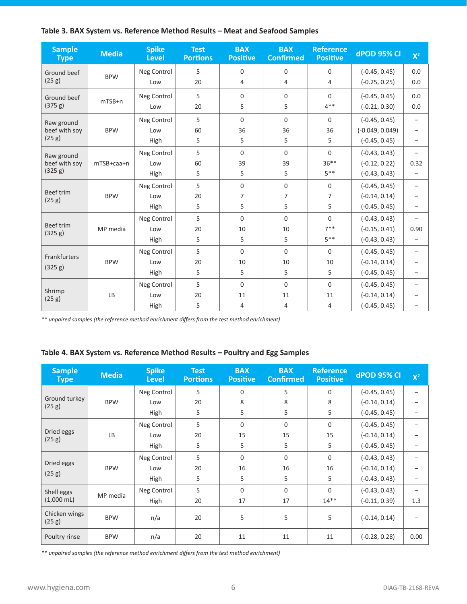|  |  | Table 3. BAX System vs. Reference Method Results - Meat and Seafood Samples |
|--|--|-----------------------------------------------------------------------------|
|--|--|-----------------------------------------------------------------------------|

| <b>Sample</b><br><b>Type</b> | <b>Media</b> | <b>Spike</b><br><b>Level</b> | <b>Test</b><br><b>Portions</b> | <b>BAX</b><br><b>Positive</b> | <b>BAX</b><br><b>Confirmed</b> | <b>Reference</b><br><b>Positive</b> | <b>dPOD 95% CI</b> | $X^2$                    |
|------------------------------|--------------|------------------------------|--------------------------------|-------------------------------|--------------------------------|-------------------------------------|--------------------|--------------------------|
| Ground beef                  |              | Neg Control                  | 5                              | $\Omega$                      | 0                              | $\Omega$                            | $(-0.45, 0.45)$    | 0.0                      |
| (25 g)                       | <b>BPW</b>   | Low                          | 20                             | 4                             | 4                              | 4                                   | $(-0.25, 0.25)$    | 0.0                      |
| Ground beef                  |              | Neg Control                  | 5                              | $\Omega$                      | $\Omega$                       | $\Omega$                            | $(-0.45, 0.45)$    | 0.0                      |
| (375 g)                      | $mTSB+n$     | Low                          | 20                             | 5                             | 5                              | $4***$                              | $(-0.21, 0.30)$    | 0.0                      |
| Raw ground                   |              | Neg Control                  | 5                              | $\Omega$                      | $\Omega$                       | $\Omega$                            | $(-0.45, 0.45)$    | $\overline{\phantom{0}}$ |
| beef with soy                | <b>BPW</b>   | Low                          | 60                             | 36                            | 36                             | 36                                  | $(-0.049, 0.049)$  | $\overline{\phantom{0}}$ |
| (25 g)                       |              | High                         | 5                              | 5                             | 5                              | 5                                   | $(-0.45, 0.45)$    | $\overline{\phantom{m}}$ |
| Raw ground                   |              | Neg Control                  | 5                              | $\mathbf{0}$                  | $\Omega$                       | $\Omega$                            | $(-0.43, 0.43)$    | $\overline{\phantom{0}}$ |
| beef with soy                | mTSB+caa+n   | Low                          | 60                             | 39                            | 39                             | $36***$                             | $(-0.12, 0.22)$    | 0.32                     |
| (325 g)                      |              | High                         | 5                              | 5                             | 5                              | $5***$                              | $(-0.43, 0.43)$    | $\overline{\phantom{0}}$ |
|                              | <b>BPW</b>   | Neg Control                  | 5                              | $\mathbf{0}$                  | $\mathbf{0}$                   | $\Omega$                            | $(-0.45, 0.45)$    | $\qquad \qquad -$        |
| <b>Beef trim</b><br>(25 g)   |              | Low                          | 20                             | $\overline{7}$                | 7                              | $\overline{7}$                      | $(-0.14, 0.14)$    |                          |
|                              |              | High                         | 5                              | 5                             | 5                              | 5                                   | $(-0.45, 0.45)$    |                          |
|                              |              | Neg Control                  | 5                              | $\Omega$                      | $\Omega$                       | $\Omega$                            | $(-0.43, 0.43)$    |                          |
| <b>Beef trim</b><br>(325 g)  | MP media     | Low                          | 20                             | 10                            | 10                             | $7***$                              | $(-0.15, 0.41)$    | 0.90                     |
|                              |              | High                         | 5                              | 5                             | 5                              | $5***$                              | $(-0.43, 0.43)$    | $\overline{\phantom{0}}$ |
| Frankfurters                 |              | Neg Control                  | 5                              | $\Omega$                      | $\Omega$                       | $\Omega$                            | $(-0.45, 0.45)$    | $\overline{\phantom{0}}$ |
|                              | <b>BPW</b>   | Low                          | 20                             | 10                            | 10                             | 10                                  | $(-0.14, 0.14)$    |                          |
| (325 g)                      |              | High                         | 5                              | 5                             | 5                              | 5                                   | $(-0.45, 0.45)$    | $\overline{\phantom{0}}$ |
|                              |              | Neg Control                  | 5                              | $\mathbf{0}$                  | $\mathbf 0$                    | $\mathbf 0$                         | $(-0.45, 0.45)$    | $\overline{\phantom{0}}$ |
| Shrimp<br>(25 g)             | <b>LB</b>    | Low                          | 20                             | 11                            | 11                             | 11                                  | $(-0.14, 0.14)$    |                          |
|                              |              | High                         | 5                              | 4                             | 4                              | 4                                   | $(-0.45, 0.45)$    |                          |

*\*\* unpaired samples (the reference method enrichment differs from the test method enrichment)*

### **Table 4. BAX System vs. Reference Method Results – Poultry and Egg Samples**

| <b>Sample</b><br><b>Type</b> | <b>Media</b> | <b>Spike</b><br><b>Level</b> | <b>Test</b><br><b>Portions</b> | <b>BAX</b><br><b>Positive</b> | <b>BAX</b><br><b>Confirmed</b> | <b>Reference</b><br><b>Positive</b> | <b>dPOD 95% CI</b> | $X^2$ |
|------------------------------|--------------|------------------------------|--------------------------------|-------------------------------|--------------------------------|-------------------------------------|--------------------|-------|
|                              |              | Neg Control                  | 5                              | $\Omega$                      | 5                              | $\Omega$                            | $(-0.45, 0.45)$    |       |
| Ground turkey<br>(25 g)      | <b>BPW</b>   | Low                          | 20                             | 8                             | 8                              | 8                                   | $(-0.14, 0.14)$    |       |
|                              |              | High                         | 5                              | 5                             | 5                              | 5                                   | $(-0.45, 0.45)$    |       |
|                              |              | Neg Control                  | 5                              | $\Omega$                      | $\Omega$                       | $\Omega$                            | $(-0.45, 0.45)$    |       |
| Dried eggs<br>(25 g)         | LB           | Low                          | 20                             | 15                            | 15                             | 15                                  | $(-0.14, 0.14)$    |       |
|                              |              | High                         | 5                              | 5                             | 5                              | 5                                   | $(-0.45, 0.45)$    |       |
|                              |              | Neg Control                  | 5                              | $\Omega$                      | $\Omega$                       | $\Omega$                            | $(-0.43, 0.43)$    |       |
| Dried eggs                   | <b>BPW</b>   | Low                          | 20                             | 16                            | 16                             | 16                                  | $(-0.14, 0.14)$    |       |
| (25 g)                       |              | High                         | 5                              | 5                             | 5                              | 5                                   | $(-0.43, 0.43)$    |       |
| Shell eggs                   |              | Neg Control                  | 5                              | $\Omega$                      | $\Omega$                       | $\Omega$                            | $(-0.43, 0.43)$    |       |
| $(1,000 \text{ mL})$         | MP media     | High                         | 20                             | 17                            | 17                             | $14**$                              | $(-0.11, 0.39)$    | 1.3   |
| Chicken wings<br>(25 g)      | <b>BPW</b>   | n/a                          | 20                             | 5                             | 5                              | 5                                   | $(-0.14, 0.14)$    |       |
| Poultry rinse                | <b>BPW</b>   | n/a                          | 20                             | 11                            | 11                             | 11                                  | $(-0.28, 0.28)$    | 0.00  |

*\*\* unpaired samples (the reference method enrichment differs from the test method enrichment)*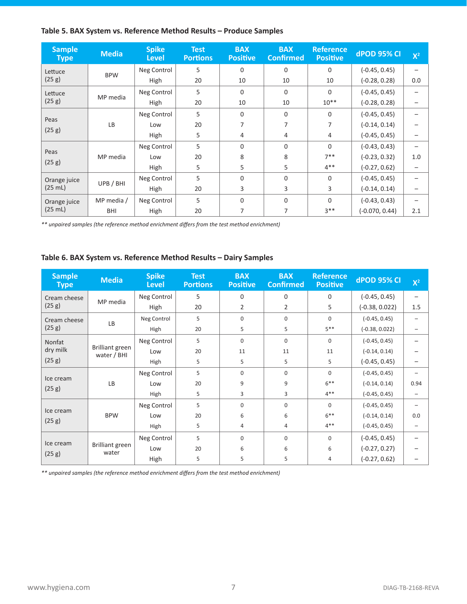### **Table 5. BAX System vs. Reference Method Results – Produce Samples**

| <b>Sample</b><br><b>Type</b> | <b>Media</b> | <b>Spike</b><br><b>Level</b> | <b>Test</b><br><b>Portions</b> | <b>BAX</b><br><b>Positive</b> | <b>BAX</b><br><b>Confirmed</b> | <b>Reference</b><br><b>Positive</b> | <b>dPOD 95% CI</b> | $X^2$ |
|------------------------------|--------------|------------------------------|--------------------------------|-------------------------------|--------------------------------|-------------------------------------|--------------------|-------|
| Lettuce                      |              | Neg Control                  | 5                              | $\Omega$                      | $\Omega$                       | $\Omega$                            | $(-0.45, 0.45)$    |       |
| (25 g)                       | <b>BPW</b>   | High                         | 20                             | 10                            | 10                             | 10                                  | $(-0.28, 0.28)$    | 0.0   |
| Lettuce                      | MP media     | Neg Control                  | 5                              | $\mathbf 0$                   | $\mathbf 0$                    | $\Omega$                            | $(-0.45, 0.45)$    |       |
| (25 g)                       |              | High                         | 20                             | 10                            | 10                             | $10**$                              | $(-0.28, 0.28)$    |       |
|                              |              | Neg Control                  | 5                              | $\Omega$                      | $\Omega$                       | $\Omega$                            | $(-0.45, 0.45)$    |       |
| Peas                         | LB           | Low                          | 20                             | 7                             | 7                              | 7                                   | $(-0.14, 0.14)$    |       |
| (25 g)                       |              | High                         | 5                              | 4                             | 4                              | 4                                   | $(-0.45, 0.45)$    |       |
|                              |              | Neg Control                  | 5                              | $\Omega$                      | $\Omega$                       | $\Omega$                            | $(-0.43, 0.43)$    |       |
| Peas                         | MP media     | Low                          | 20                             | 8                             | 8                              | $7**$                               | $(-0.23, 0.32)$    | 1.0   |
| (25 g)                       |              | High                         | 5                              | 5                             | 5                              | $4***$                              | $(-0.27, 0.62)$    |       |
| Orange juice                 |              | Neg Control                  | 5                              | $\Omega$                      | $\Omega$                       | $\Omega$                            | $(-0.45, 0.45)$    |       |
| (25 mL)                      | UPB / BHI    | High                         | 20                             | 3                             | 3                              | 3                                   | $(-0.14, 0.14)$    |       |
| Orange juice                 | MP media /   | Neg Control                  | 5                              | $\Omega$                      | $\Omega$                       | $\Omega$                            | $(-0.43, 0.43)$    |       |
| (25 mL)                      | BHI          | High                         | 20                             | 7                             | 7                              | $3**$                               | $(-0.070, 0.44)$   | 2.1   |

*\*\* unpaired samples (the reference method enrichment differs from the test method enrichment)*

### **Table 6. BAX System vs. Reference Method Results – Dairy Samples**

| <b>Sample</b><br><b>Type</b> | <b>Media</b>                          | <b>Spike</b><br><b>Level</b> | <b>Test</b><br><b>Portions</b> | <b>BAX</b><br><b>Positive</b> | <b>BAX</b><br><b>Confirmed</b> | <b>Reference</b><br><b>Positive</b> | <b>dPOD 95% CI</b> | $X^2$ |
|------------------------------|---------------------------------------|------------------------------|--------------------------------|-------------------------------|--------------------------------|-------------------------------------|--------------------|-------|
| Cream cheese                 | MP media                              | Neg Control                  | 5                              | $\Omega$                      | $\Omega$                       | $\Omega$                            | $(-0.45, 0.45)$    |       |
| (25 g)                       |                                       | High                         | 20                             | $\overline{2}$                | $\overline{2}$                 | 5                                   | $(-0.38, 0.022)$   | 1.5   |
| Cream cheese                 | LB                                    | Neg Control                  | 5                              | $\Omega$                      | $\Omega$                       | $\Omega$                            | $(-0.45, 0.45)$    |       |
| (25 g)                       |                                       | High                         | 20                             | 5                             | 5                              | $5***$                              | $(-0.38, 0.022)$   |       |
| Nonfat                       |                                       | Neg Control                  | 5                              | $\Omega$                      | $\Omega$                       | $\Omega$                            | $(-0.45, 0.45)$    |       |
| dry milk                     | <b>Brilliant green</b><br>water / BHI | Low                          | 20                             | 11                            | 11                             | 11                                  | $(-0.14, 0.14)$    |       |
| (25 g)                       |                                       | High                         | 5                              | 5                             | 5                              | 5                                   | $(-0.45, 0.45)$    |       |
| Ice cream                    | <b>LB</b>                             | Neg Control                  | 5                              | $\Omega$                      | $\Omega$                       | $\Omega$                            | $(-0.45, 0.45)$    |       |
| (25 g)                       |                                       | Low                          | 20                             | 9                             | 9                              | $6***$                              | $(-0.14, 0.14)$    | 0.94  |
|                              |                                       | High                         | 5                              | 3                             | 3                              | $4***$                              | $(-0.45, 0.45)$    |       |
| Ice cream                    |                                       | Neg Control                  | 5                              | $\mathbf 0$                   | 0                              | $\Omega$                            | $(-0.45, 0.45)$    |       |
| (25 g)                       | <b>BPW</b>                            | Low                          | 20                             | 6                             | 6                              | $6***$                              | $(-0.14, 0.14)$    | 0.0   |
|                              |                                       | High                         | 5                              | 4                             | 4                              | $4***$                              | $(-0.45, 0.45)$    |       |
|                              |                                       | Neg Control                  | 5                              | $\Omega$                      | $\Omega$                       | $\Omega$                            | $(-0.45, 0.45)$    |       |
| Ice cream                    | <b>Brilliant green</b><br>water       | Low                          | 20                             | 6                             | 6                              | 6                                   | $(-0.27, 0.27)$    |       |
| (25 g)                       |                                       | High                         | 5                              | 5                             | 5                              | 4                                   | $(-0.27, 0.62)$    |       |

*\*\* unpaired samples (the reference method enrichment differs from the test method enrichment)*